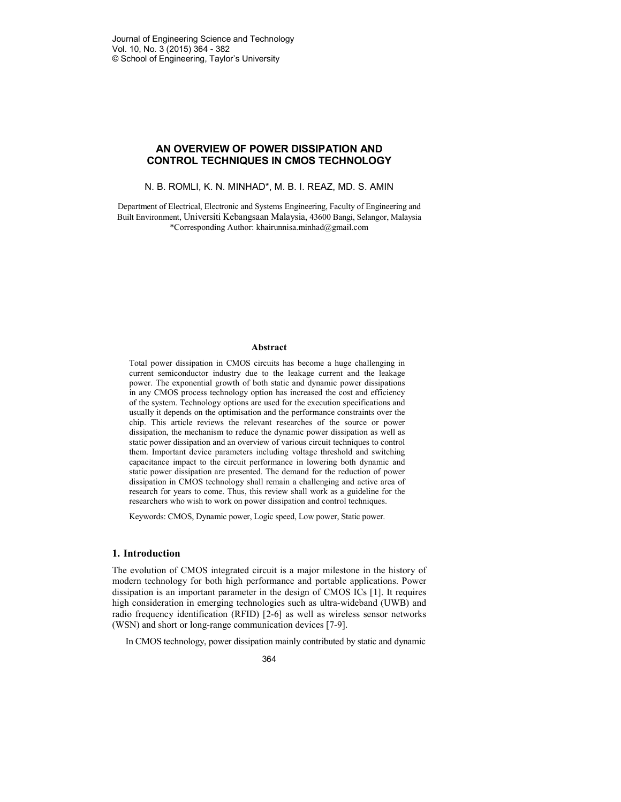# **AN OVERVIEW OF POWER DISSIPATION AND CONTROL TECHNIQUES IN CMOS TECHNOLOGY**

N. B. ROMLI, K. N. MINHAD\*, M. B. I. REAZ, MD. S. AMIN

Department of Electrical, Electronic and Systems Engineering, Faculty of Engineering and Built Environment, Universiti Kebangsaan Malaysia, 43600 Bangi, Selangor, Malaysia \*Corresponding Author: khairunnisa.minhad@gmail.com

#### **Abstract**

Total power dissipation in CMOS circuits has become a huge challenging in current semiconductor industry due to the leakage current and the leakage power. The exponential growth of both static and dynamic power dissipations in any CMOS process technology option has increased the cost and efficiency of the system. Technology options are used for the execution specifications and usually it depends on the optimisation and the performance constraints over the chip. This article reviews the relevant researches of the source or power dissipation, the mechanism to reduce the dynamic power dissipation as well as static power dissipation and an overview of various circuit techniques to control them. Important device parameters including voltage threshold and switching capacitance impact to the circuit performance in lowering both dynamic and static power dissipation are presented. The demand for the reduction of power dissipation in CMOS technology shall remain a challenging and active area of research for years to come. Thus, this review shall work as a guideline for the researchers who wish to work on power dissipation and control techniques.

Keywords: CMOS, Dynamic power, Logic speed, Low power, Static power.

### **1. Introduction**

The evolution of CMOS integrated circuit is a major milestone in the history of modern technology for both high performance and portable applications. Power dissipation is an important parameter in the design of CMOS ICs [1]. It requires high consideration in emerging technologies such as ultra-wideband (UWB) and radio frequency identification (RFID) [2-6] as well as wireless sensor networks (WSN) and short or long-range communication devices [7-9].

In CMOS technology, power dissipation mainly contributed by static and dynamic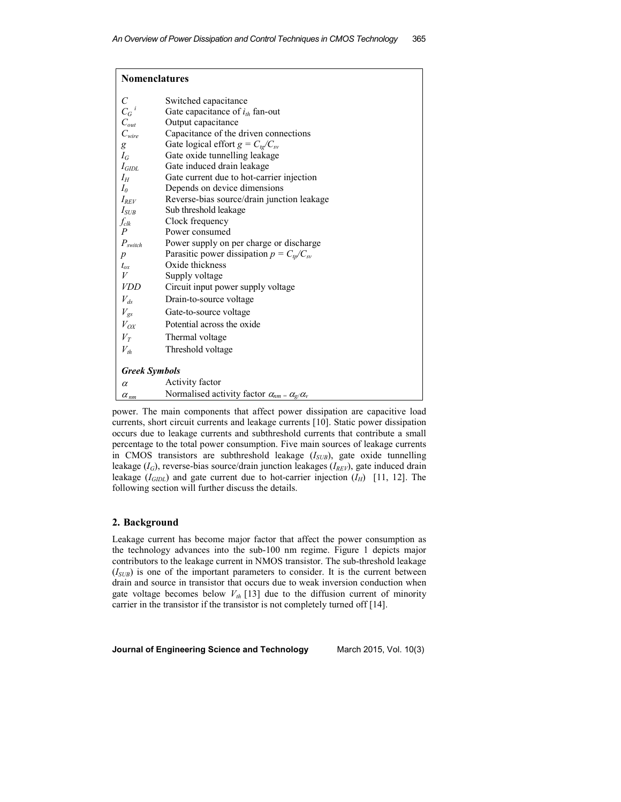| <b>Nomenclatures</b>         |                                                                  |  |  |  |  |
|------------------------------|------------------------------------------------------------------|--|--|--|--|
| $\mathcal{C}_{0}^{0}$        | Switched capacitance                                             |  |  |  |  |
| $C_G{}^i$                    | Gate capacitance of $i_{th}$ fan-out                             |  |  |  |  |
| $\mathcal{C}_{\mathit{out}}$ | Output capacitance                                               |  |  |  |  |
| $C_{\textit{wire}}$          | Capacitance of the driven connections                            |  |  |  |  |
| g                            | Gate logical effort $g = C_{tg}/C_{sv}$                          |  |  |  |  |
| $I_G$                        | Gate oxide tunnelling leakage                                    |  |  |  |  |
| $I_{GIDL}$                   | Gate induced drain leakage                                       |  |  |  |  |
| $I_H$                        | Gate current due to hot-carrier injection                        |  |  |  |  |
| $I_0$                        | Depends on device dimensions                                     |  |  |  |  |
| $I_{REV}$                    | Reverse-bias source/drain junction leakage                       |  |  |  |  |
| $I_{SUB}$                    | Sub threshold leakage                                            |  |  |  |  |
| $f_{\it{clk}}$               | Clock frequency                                                  |  |  |  |  |
| $\boldsymbol{P}$             | Power consumed                                                   |  |  |  |  |
| $P_{\textit{switch}}$        | Power supply on per charge or discharge                          |  |  |  |  |
| $\boldsymbol{p}$             | Parasitic power dissipation $p = C_{tp}/C_{sv}$                  |  |  |  |  |
| $t_{ox}$                     | Oxide thickness                                                  |  |  |  |  |
| V                            | Supply voltage                                                   |  |  |  |  |
| <b>VDD</b>                   | Circuit input power supply voltage                               |  |  |  |  |
| $V_{ds}$                     | Drain-to-source voltage                                          |  |  |  |  |
| $V_{gs}$                     | Gate-to-source voltage                                           |  |  |  |  |
| $V_{OX}$                     | Potential across the oxide                                       |  |  |  |  |
| $V_T$                        | Thermal voltage                                                  |  |  |  |  |
| $V_{th}$                     | Threshold voltage                                                |  |  |  |  |
| <b>Greek Symbols</b>         |                                                                  |  |  |  |  |
| $\alpha$                     | Activity factor                                                  |  |  |  |  |
| $\alpha_{nm}$                | Normalised activity factor $\alpha_{nm} = \alpha_{g}/\alpha_{v}$ |  |  |  |  |

power. The main components that affect power dissipation are capacitive load currents, short circuit currents and leakage currents [10]. Static power dissipation occurs due to leakage currents and subthreshold currents that contribute a small percentage to the total power consumption. Five main sources of leakage currents in CMOS transistors are subthreshold leakage (*ISUB*), gate oxide tunnelling leakage (*IG*), reverse-bias source/drain junction leakages (*IREV*), gate induced drain leakage  $(I_{GIDL})$  and gate current due to hot-carrier injection  $(I_H)$  [11, 12]. The following section will further discuss the details.

## **2. Background**

Leakage current has become major factor that affect the power consumption as the technology advances into the sub-100 nm regime. Figure 1 depicts major contributors to the leakage current in NMOS transistor. The sub-threshold leakage  $(I_{SUB})$  is one of the important parameters to consider. It is the current between drain and source in transistor that occurs due to weak inversion conduction when gate voltage becomes below  $V_{th}$  [13] due to the diffusion current of minority carrier in the transistor if the transistor is not completely turned off [14].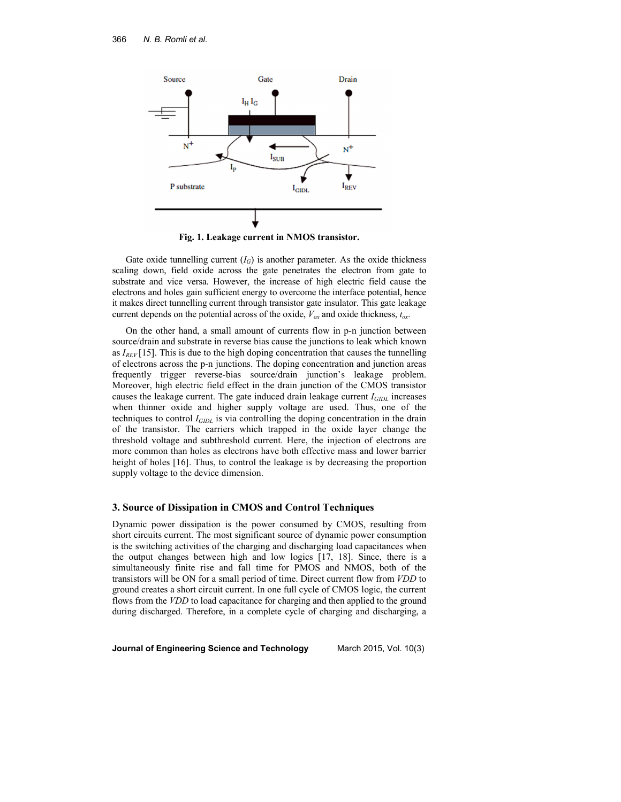

**Fig. 1. Leakage current in NMOS transistor.** 

Gate oxide tunnelling current  $(I_G)$  is another parameter. As the oxide thickness scaling down, field oxide across the gate penetrates the electron from gate to substrate and vice versa. However, the increase of high electric field cause the electrons and holes gain sufficient energy to overcome the interface potential, hence it makes direct tunnelling current through transistor gate insulator. This gate leakage current depends on the potential across of the oxide,  $V_{\alpha x}$  and oxide thickness,  $t_{\alpha x}$ .

On the other hand, a small amount of currents flow in p-n junction between source/drain and substrate in reverse bias cause the junctions to leak which known as  $I_{REV}$ [15]. This is due to the high doping concentration that causes the tunnelling of electrons across the p-n junctions. The doping concentration and junction areas frequently trigger reverse-bias source/drain junction's leakage problem. Moreover, high electric field effect in the drain junction of the CMOS transistor causes the leakage current. The gate induced drain leakage current *IGIDL* increases when thinner oxide and higher supply voltage are used. Thus, one of the techniques to control *IGIDL* is via controlling the doping concentration in the drain of the transistor. The carriers which trapped in the oxide layer change the threshold voltage and subthreshold current. Here, the injection of electrons are more common than holes as electrons have both effective mass and lower barrier height of holes [16]. Thus, to control the leakage is by decreasing the proportion supply voltage to the device dimension.

### **3. Source of Dissipation in CMOS and Control Techniques**

Dynamic power dissipation is the power consumed by CMOS, resulting from short circuits current. The most significant source of dynamic power consumption is the switching activities of the charging and discharging load capacitances when the output changes between high and low logics [17, 18]. Since, there is a simultaneously finite rise and fall time for PMOS and NMOS, both of the transistors will be ON for a small period of time. Direct current flow from *VDD* to ground creates a short circuit current. In one full cycle of CMOS logic, the current flows from the *VDD* to load capacitance for charging and then applied to the ground during discharged. Therefore, in a complete cycle of charging and discharging, a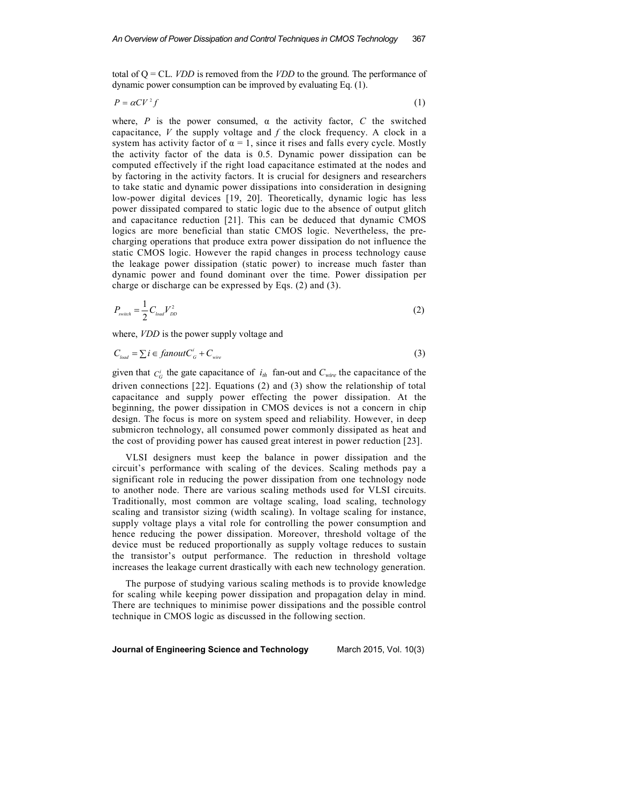total of Q = CL. *VDD* is removed from the *VDD* to the ground. The performance of dynamic power consumption can be improved by evaluating Eq. (1).

$$
P = \alpha C V^2 f \tag{1}
$$

where, *P* is the power consumed,  $\alpha$  the activity factor, *C* the switched capacitance, *V* the supply voltage and *f* the clock frequency. A clock in a system has activity factor of  $\alpha = 1$ , since it rises and falls every cycle. Mostly the activity factor of the data is 0.5. Dynamic power dissipation can be computed effectively if the right load capacitance estimated at the nodes and by factoring in the activity factors. It is crucial for designers and researchers to take static and dynamic power dissipations into consideration in designing low-power digital devices [19, 20]. Theoretically, dynamic logic has less power dissipated compared to static logic due to the absence of output glitch and capacitance reduction [21]. This can be deduced that dynamic CMOS logics are more beneficial than static CMOS logic. Nevertheless, the precharging operations that produce extra power dissipation do not influence the static CMOS logic. However the rapid changes in process technology cause the leakage power dissipation (static power) to increase much faster than dynamic power and found dominant over the time. Power dissipation per charge or discharge can be expressed by Eqs. (2) and (3).

$$
P_{\text{switch}} = \frac{1}{2} C_{\text{load}} V_{\text{DD}}^2 \tag{2}
$$

where, *VDD* is the power supply voltage and

$$
C_{\text{load}} = \sum i \in \text{fanout} C_{\text{G}}^i + C_{\text{wire}} \tag{3}
$$

given that  $C_G^i$  the gate capacitance of  $i_{th}$  fan-out and  $C_{wire}$  the capacitance of the driven connections [22]. Equations (2) and (3) show the relationship of total capacitance and supply power effecting the power dissipation. At the beginning, the power dissipation in CMOS devices is not a concern in chip design. The focus is more on system speed and reliability. However, in deep submicron technology, all consumed power commonly dissipated as heat and the cost of providing power has caused great interest in power reduction [23].

VLSI designers must keep the balance in power dissipation and the circuit's performance with scaling of the devices. Scaling methods pay a significant role in reducing the power dissipation from one technology node to another node. There are various scaling methods used for VLSI circuits. Traditionally, most common are voltage scaling, load scaling, technology scaling and transistor sizing (width scaling). In voltage scaling for instance, supply voltage plays a vital role for controlling the power consumption and hence reducing the power dissipation. Moreover, threshold voltage of the device must be reduced proportionally as supply voltage reduces to sustain the transistor's output performance. The reduction in threshold voltage increases the leakage current drastically with each new technology generation.

The purpose of studying various scaling methods is to provide knowledge for scaling while keeping power dissipation and propagation delay in mind. There are techniques to minimise power dissipations and the possible control technique in CMOS logic as discussed in the following section.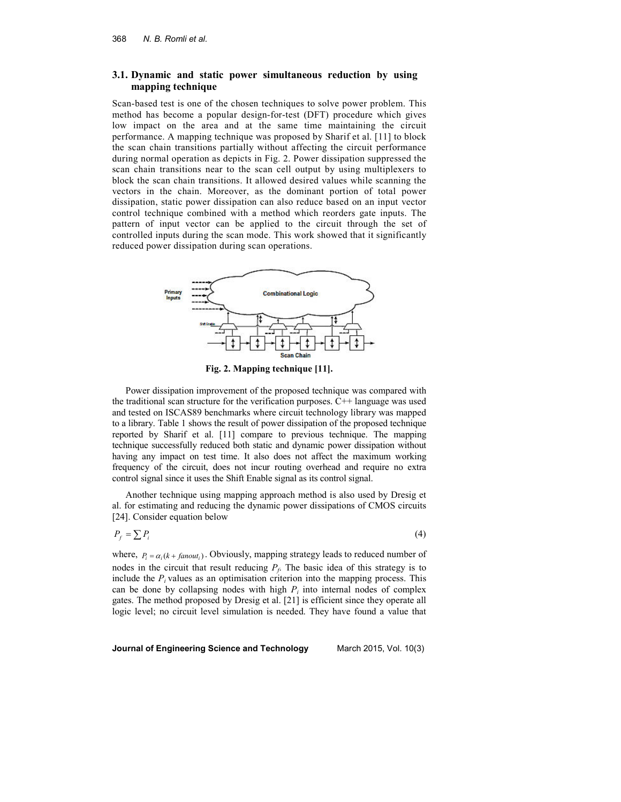## **3.1. Dynamic and static power simultaneous reduction by using mapping technique**

Scan-based test is one of the chosen techniques to solve power problem. This method has become a popular design-for-test (DFT) procedure which gives low impact on the area and at the same time maintaining the circuit performance. A mapping technique was proposed by Sharif et al. [11] to block the scan chain transitions partially without affecting the circuit performance during normal operation as depicts in Fig. 2. Power dissipation suppressed the scan chain transitions near to the scan cell output by using multiplexers to block the scan chain transitions. It allowed desired values while scanning the vectors in the chain. Moreover, as the dominant portion of total power dissipation, static power dissipation can also reduce based on an input vector control technique combined with a method which reorders gate inputs. The pattern of input vector can be applied to the circuit through the set of controlled inputs during the scan mode. This work showed that it significantly reduced power dissipation during scan operations.



**Fig. 2. Mapping technique [11].** 

Power dissipation improvement of the proposed technique was compared with the traditional scan structure for the verification purposes.  $C++$  language was used and tested on ISCAS89 benchmarks where circuit technology library was mapped to a library. Table 1 shows the result of power dissipation of the proposed technique reported by Sharif et al. [11] compare to previous technique. The mapping technique successfully reduced both static and dynamic power dissipation without having any impact on test time. It also does not affect the maximum working frequency of the circuit, does not incur routing overhead and require no extra control signal since it uses the Shift Enable signal as its control signal.

Another technique using mapping approach method is also used by Dresig et al. for estimating and reducing the dynamic power dissipations of CMOS circuits [24]. Consider equation below

 $P_f = \sum P_i$ (4)

where,  $P_i = \alpha_i (k + \text{fanout}_i)$ . Obviously, mapping strategy leads to reduced number of nodes in the circuit that result reducing  $P_f$ . The basic idea of this strategy is to include the  $P_i$  values as an optimisation criterion into the mapping process. This can be done by collapsing nodes with high  $P_i$  into internal nodes of complex gates. The method proposed by Dresig et al. [21] is efficient since they operate all logic level; no circuit level simulation is needed. They have found a value that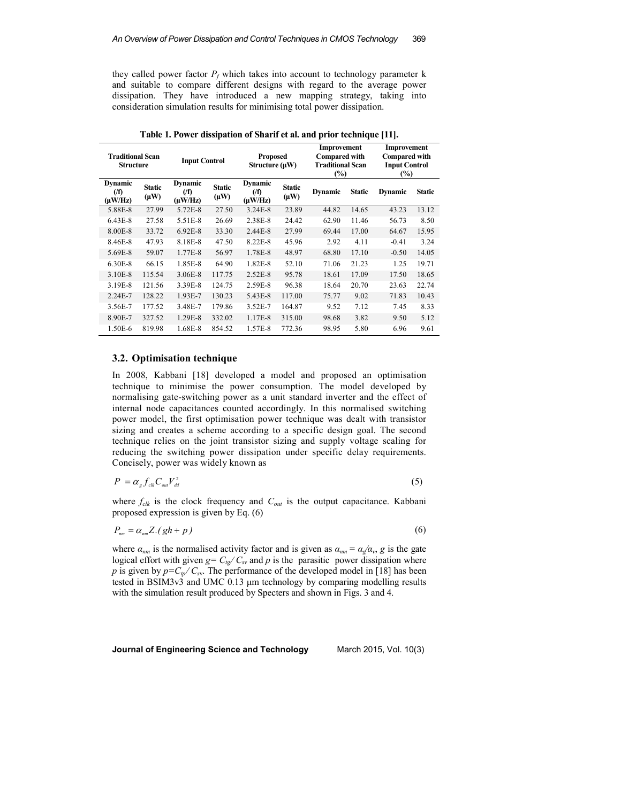they called power factor  $P_f$  which takes into account to technology parameter k and suitable to compare different designs with regard to the average power dissipation. They have introduced a new mapping strategy, taking into consideration simulation results for minimising total power dissipation.

| <b>Traditional Scan</b><br><b>Structure</b> |                            |                                             | <b>Input Control</b><br>Structure $(\mu W)$ |                                          | Improvement<br><b>Compared with</b><br><b>Proposed</b><br><b>Traditional Scan</b><br>$(\%)$ |                |               | Improvement<br><b>Compared with</b><br><b>Input Control</b><br>$(\%)$ |               |
|---------------------------------------------|----------------------------|---------------------------------------------|---------------------------------------------|------------------------------------------|---------------------------------------------------------------------------------------------|----------------|---------------|-----------------------------------------------------------------------|---------------|
| <b>Dynamic</b><br>(f)<br>$(\mu W/Hz)$       | <b>Static</b><br>$(\mu W)$ | <b>Dynamic</b><br>$($ f $)$<br>$(\mu W/Hz)$ | <b>Static</b><br>$(\mu W)$                  | <b>Dynamic</b><br>$($ f)<br>$(\mu W/Hz)$ | <b>Static</b><br>$(\mu W)$                                                                  | <b>Dynamic</b> | <b>Static</b> | <b>Dynamic</b>                                                        | <b>Static</b> |
| 5.88E-8                                     | 27.99                      | 5.72E-8                                     | 27.50                                       | 3.24E-8                                  | 23.89                                                                                       | 44.82          | 14.65         | 43.23                                                                 | 13.12         |
| 6.43E-8                                     | 27.58                      | 5.51E-8                                     | 26.69                                       | 2.38E-8                                  | 24.42                                                                                       | 62.90          | 11.46         | 56.73                                                                 | 8.50          |
| 8.00E-8                                     | 33.72                      | $6.92E-8$                                   | 33.30                                       | 2.44E-8                                  | 27.99                                                                                       | 69.44          | 17.00         | 64.67                                                                 | 15.95         |
| 8.46E-8                                     | 47.93                      | 8.18E-8                                     | 47.50                                       | 8.22E-8                                  | 45.96                                                                                       | 2.92           | 4.11          | $-0.41$                                                               | 3.24          |
| 5.69E-8                                     | 59.07                      | 1.77E-8                                     | 56.97                                       | 1.78E-8                                  | 48.97                                                                                       | 68.80          | 17.10         | $-0.50$                                                               | 14.05         |
| 6.30E-8                                     | 66.15                      | 1.85E-8                                     | 64.90                                       | 1.82E-8                                  | 52.10                                                                                       | 71.06          | 21.23         | 1.25                                                                  | 19.71         |
| 3.10E-8                                     | 115.54                     | 3.06E-8                                     | 117.75                                      | 2.52E-8                                  | 95.78                                                                                       | 18.61          | 17.09         | 17.50                                                                 | 18.65         |
| 3.19E-8                                     | 121.56                     | 3.39E-8                                     | 124.75                                      | 2.59E-8                                  | 96.38                                                                                       | 18.64          | 20.70         | 23.63                                                                 | 22.74         |
| 2.24E-7                                     | 128.22                     | 1.93E-7                                     | 130.23                                      | 5.43E-8                                  | 117.00                                                                                      | 75.77          | 9.02          | 71.83                                                                 | 10.43         |
| 3.56E-7                                     | 177.52                     | 3.48E-7                                     | 179.86                                      | 3.52E-7                                  | 164.87                                                                                      | 9.52           | 7.12          | 7.45                                                                  | 8.33          |
| 8.90E-7                                     | 327.52                     | 1.29E-8                                     | 332.02                                      | 1.17E-8                                  | 315.00                                                                                      | 98.68          | 3.82          | 9.50                                                                  | 5.12          |
| 1.50E-6                                     | 819.98                     | 1.68E-8                                     | 854.52                                      | 1.57E-8                                  | 772.36                                                                                      | 98.95          | 5.80          | 6.96                                                                  | 9.61          |

**Table 1. Power dissipation of Sharif et al. and prior technique [11].** 

### **3.2. Optimisation technique**

In 2008, Kabbani [18] developed a model and proposed an optimisation technique to minimise the power consumption. The model developed by normalising gate-switching power as a unit standard inverter and the effect of internal node capacitances counted accordingly. In this normalised switching power model, the first optimisation power technique was dealt with transistor sizing and creates a scheme according to a specific design goal. The second technique relies on the joint transistor sizing and supply voltage scaling for reducing the switching power dissipation under specific delay requirements. Concisely, power was widely known as

$$
P = \alpha_{g} f_{ck} C_{out} V_{dd}^{2} \tag{5}
$$

where  $f_{ck}$  is the clock frequency and  $C_{out}$  is the output capacitance. Kabbani proposed expression is given by Eq. (6)

$$
P_{nm} = \alpha_{nm} Z.(gh + p) \tag{6}
$$

where  $\alpha_{nm}$  is the normalised activity factor and is given as  $\alpha_{nm} = \alpha_{g}/\alpha_{v}$ , g is the gate logical effort with given  $g = C_{tg} / C_{sv}$  and p is the parasitic power dissipation where *p* is given by  $p = C_p / C_{sv}$ . The performance of the developed model in [18] has been tested in BSIM3v3 and UMC 0.13 µm technology by comparing modelling results with the simulation result produced by Specters and shown in Figs. 3 and 4.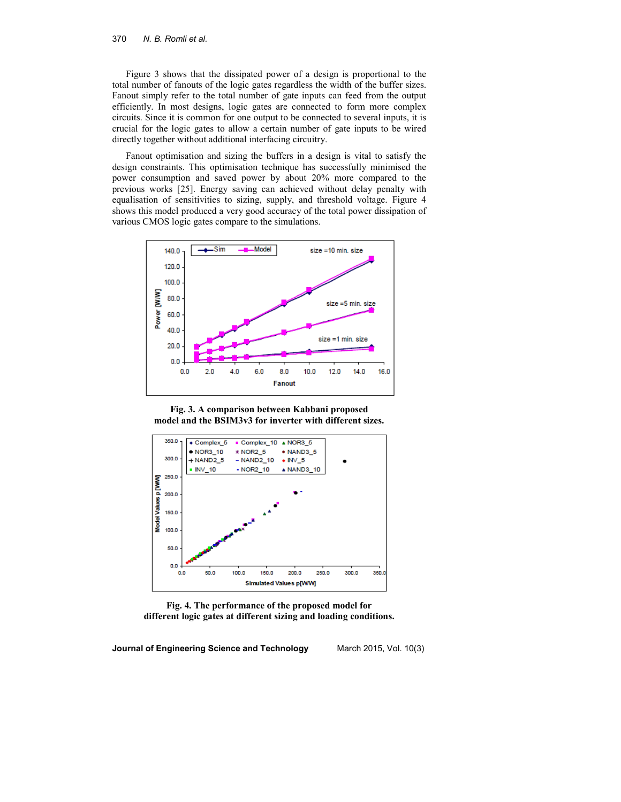#### 370 *N. B. Romli et al.*

Figure 3 shows that the dissipated power of a design is proportional to the total number of fanouts of the logic gates regardless the width of the buffer sizes. Fanout simply refer to the total number of gate inputs can feed from the output efficiently. In most designs, logic gates are connected to form more complex circuits. Since it is common for one output to be connected to several inputs, it is crucial for the logic gates to allow a certain number of gate inputs to be wired directly together without additional interfacing circuitry.

Fanout optimisation and sizing the buffers in a design is vital to satisfy the design constraints. This optimisation technique has successfully minimised the power consumption and saved power by about 20% more compared to the previous works [25]. Energy saving can achieved without delay penalty with equalisation of sensitivities to sizing, supply, and threshold voltage. Figure 4 shows this model produced a very good accuracy of the total power dissipation of various CMOS logic gates compare to the simulations.



**Fig. 3. A comparison between Kabbani proposed model and the BSIM3v3 for inverter with different sizes.** 



**Fig. 4. The performance of the proposed model for different logic gates at different sizing and loading conditions.**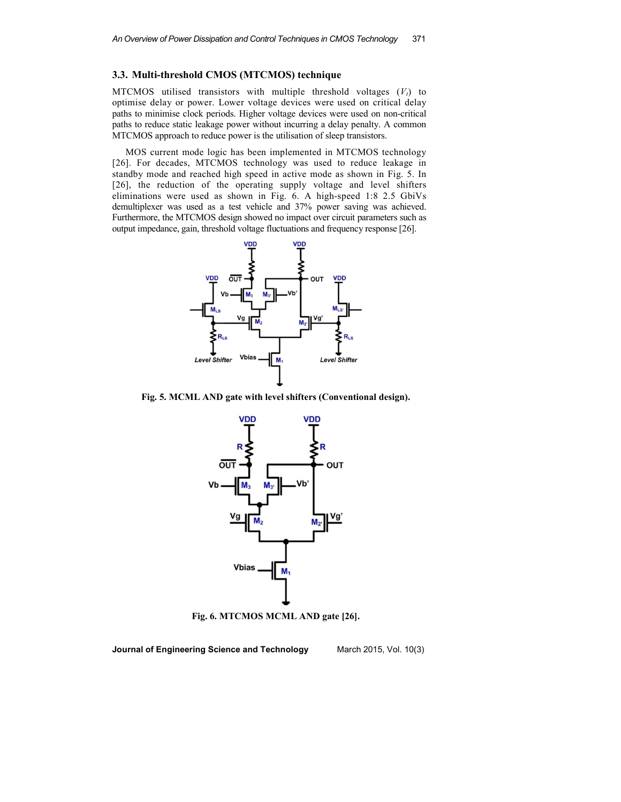## **3.3. Multi-threshold CMOS (MTCMOS) technique**

MTCMOS utilised transistors with multiple threshold voltages (*Vt*) to optimise delay or power. Lower voltage devices were used on critical delay paths to minimise clock periods. Higher voltage devices were used on non-critical paths to reduce static leakage power without incurring a delay penalty. A common MTCMOS approach to reduce power is the utilisation of sleep transistors.

MOS current mode logic has been implemented in MTCMOS technology [26]. For decades, MTCMOS technology was used to reduce leakage in standby mode and reached high speed in active mode as shown in Fig. 5. In [26], the reduction of the operating supply voltage and level shifters eliminations were used as shown in Fig. 6. A high-speed 1:8 2.5 GbiVs demultiplexer was used as a test vehicle and 37% power saving was achieved. Furthermore, the MTCMOS design showed no impact over circuit parameters such as output impedance, gain, threshold voltage fluctuations and frequency response [26].



**Fig. 5. MCML AND gate with level shifters (Conventional design).** 



**Fig. 6. MTCMOS MCML AND gate [26].**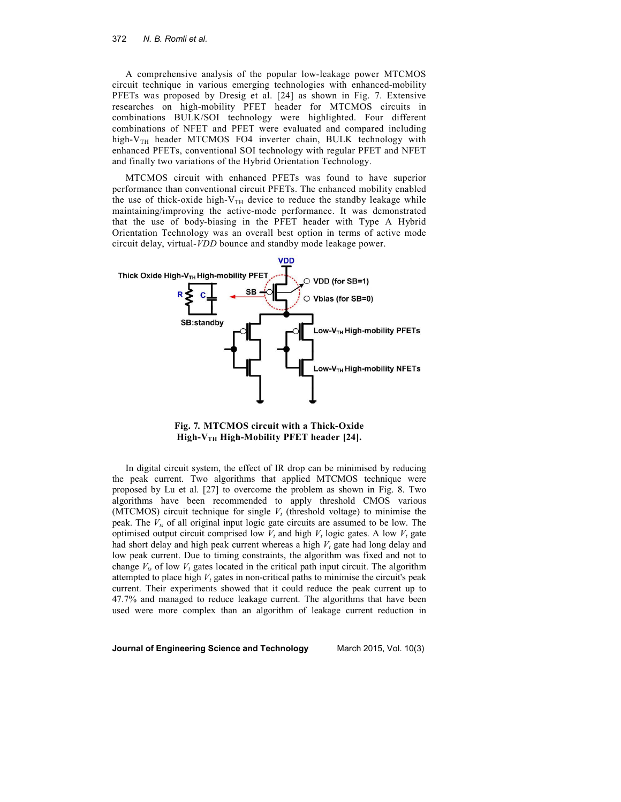A comprehensive analysis of the popular low-leakage power MTCMOS circuit technique in various emerging technologies with enhanced-mobility PFETs was proposed by Dresig et al. [24] as shown in Fig. 7. Extensive researches on high-mobility PFET header for MTCMOS circuits in combinations BULK/SOI technology were highlighted. Four different combinations of NFET and PFET were evaluated and compared including high- $V_{TH}$  header MTCMOS FO4 inverter chain, BULK technology with enhanced PFETs, conventional SOI technology with regular PFET and NFET and finally two variations of the Hybrid Orientation Technology.

MTCMOS circuit with enhanced PFETs was found to have superior performance than conventional circuit PFETs. The enhanced mobility enabled the use of thick-oxide high- $V_{TH}$  device to reduce the standby leakage while maintaining/improving the active-mode performance. It was demonstrated that the use of body-biasing in the PFET header with Type A Hybrid Orientation Technology was an overall best option in terms of active mode circuit delay, virtual-*VDD* bounce and standby mode leakage power.



**Fig. 7***.* **MTCMOS circuit with a Thick-Oxide High-VTH High-Mobility PFET header [24].** 

In digital circuit system, the effect of IR drop can be minimised by reducing the peak current. Two algorithms that applied MTCMOS technique were proposed by Lu et al. [27] to overcome the problem as shown in Fig. 8. Two algorithms have been recommended to apply threshold CMOS various (MTCMOS) circuit technique for single  $V_t$  (threshold voltage) to minimise the peak. The *Vts* of all original input logic gate circuits are assumed to be low. The optimised output circuit comprised low  $V_t$  and high  $V_t$  logic gates. A low  $V_t$  gate had short delay and high peak current whereas a high *V<sup>t</sup>* gate had long delay and low peak current. Due to timing constraints, the algorithm was fixed and not to change  $V_{ts}$  of low  $V_t$  gates located in the critical path input circuit. The algorithm attempted to place high  $V_t$  gates in non-critical paths to minimise the circuit's peak current. Their experiments showed that it could reduce the peak current up to 47.7% and managed to reduce leakage current. The algorithms that have been used were more complex than an algorithm of leakage current reduction in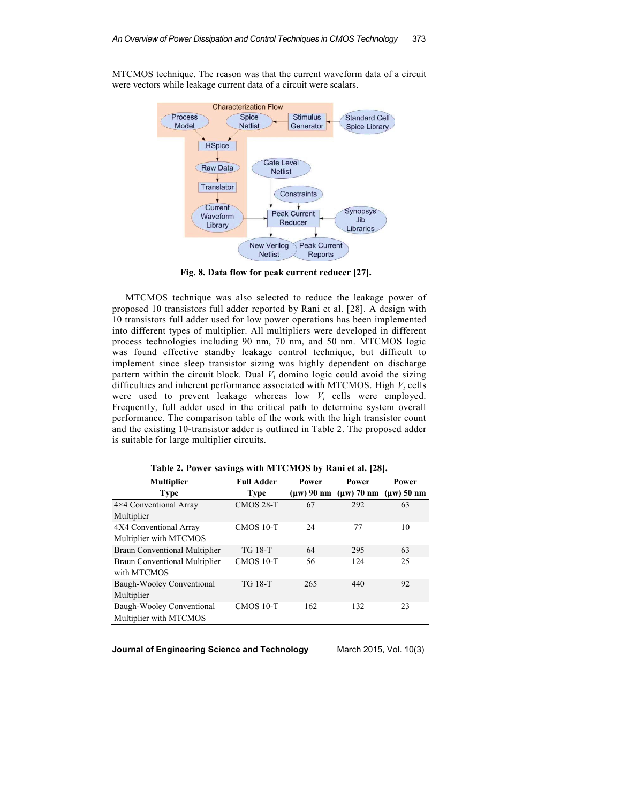MTCMOS technique. The reason was that the current waveform data of a circuit were vectors while leakage current data of a circuit were scalars.



**Fig. 8. Data flow for peak current reducer [27].** 

MTCMOS technique was also selected to reduce the leakage power of proposed 10 transistors full adder reported by Rani et al. [28]. A design with 10 transistors full adder used for low power operations has been implemented into different types of multiplier. All multipliers were developed in different process technologies including 90 nm, 70 nm, and 50 nm. MTCMOS logic was found effective standby leakage control technique, but difficult to implement since sleep transistor sizing was highly dependent on discharge pattern within the circuit block. Dual  $V_t$  domino logic could avoid the sizing difficulties and inherent performance associated with MTCMOS. High  $V_t$  cells were used to prevent leakage whereas low  $V_t$  cells were employed. Frequently, full adder used in the critical path to determine system overall performance. The comparison table of the work with the high transistor count and the existing 10-transistor adder is outlined in Table 2. The proposed adder is suitable for large multiplier circuits.

| <b>Multiplier</b>                    | <b>Full Adder</b> | Power | Power                           | Power        |
|--------------------------------------|-------------------|-------|---------------------------------|--------------|
| <b>Type</b>                          | <b>Type</b>       |       | $(\mu w)$ 90 nm $(\mu w)$ 70 nm | $(uw)$ 50 nm |
| 4×4 Conventional Array               | <b>CMOS 28-T</b>  | 67    | 292                             | 63           |
| Multiplier                           |                   |       |                                 |              |
| 4X4 Conventional Array               | <b>CMOS 10-T</b>  | 24    | 77                              | 10           |
| Multiplier with MTCMOS               |                   |       |                                 |              |
| <b>Braun Conventional Multiplier</b> | <b>TG 18-T</b>    | 64    | 295                             | 63           |
| <b>Braun Conventional Multiplier</b> | <b>CMOS 10-T</b>  | 56    | 124                             | 25           |
| with MTCMOS                          |                   |       |                                 |              |
| Baugh-Wooley Conventional            | <b>TG 18-T</b>    | 265   | 440                             | 92           |
| Multiplier                           |                   |       |                                 |              |
| Baugh-Wooley Conventional            | <b>CMOS 10-T</b>  | 162   | 132                             | 23           |
| Multiplier with MTCMOS               |                   |       |                                 |              |

**Table 2. Power savings with MTCMOS by Rani et al. [28].**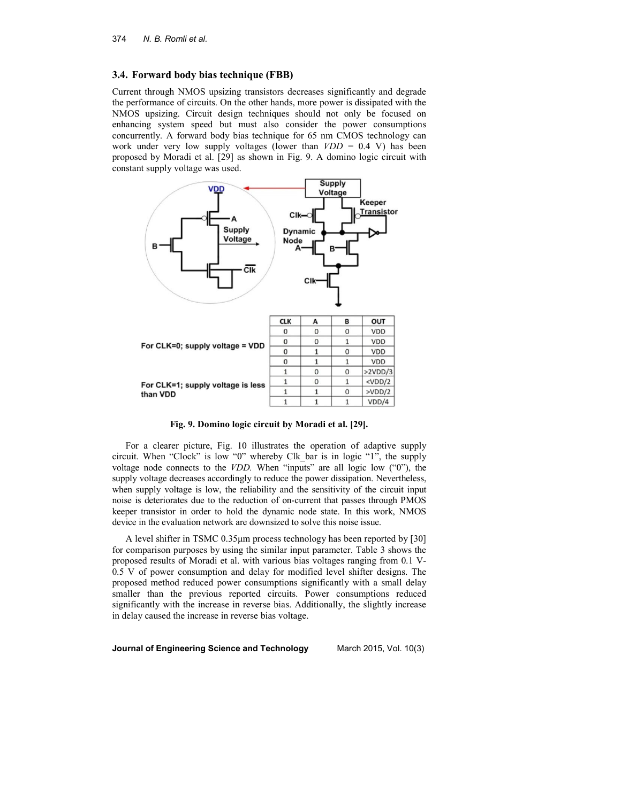### **3.4. Forward body bias technique (FBB)**

Current through NMOS upsizing transistors decreases significantly and degrade the performance of circuits. On the other hands, more power is dissipated with the NMOS upsizing. Circuit design techniques should not only be focused on enhancing system speed but must also consider the power consumptions concurrently. A forward body bias technique for 65 nm CMOS technology can work under very low supply voltages (lower than  $VDD = 0.4$  V) has been proposed by Moradi et al. [29] as shown in Fig. 9. A domino logic circuit with constant supply voltage was used.



**Fig. 9. Domino logic circuit by Moradi et al. [29].**

For a clearer picture, Fig. 10 illustrates the operation of adaptive supply circuit. When "Clock" is low "0" whereby Clk\_bar is in logic "1", the supply voltage node connects to the *VDD.* When "inputs" are all logic low ("0"), the supply voltage decreases accordingly to reduce the power dissipation. Nevertheless, when supply voltage is low, the reliability and the sensitivity of the circuit input noise is deteriorates due to the reduction of on-current that passes through PMOS keeper transistor in order to hold the dynamic node state. In this work, NMOS device in the evaluation network are downsized to solve this noise issue.

A level shifter in TSMC 0.35µm process technology has been reported by [30] for comparison purposes by using the similar input parameter. Table 3 shows the proposed results of Moradi et al. with various bias voltages ranging from 0.1 V-0.5 V of power consumption and delay for modified level shifter designs. The proposed method reduced power consumptions significantly with a small delay smaller than the previous reported circuits. Power consumptions reduced significantly with the increase in reverse bias. Additionally, the slightly increase in delay caused the increase in reverse bias voltage.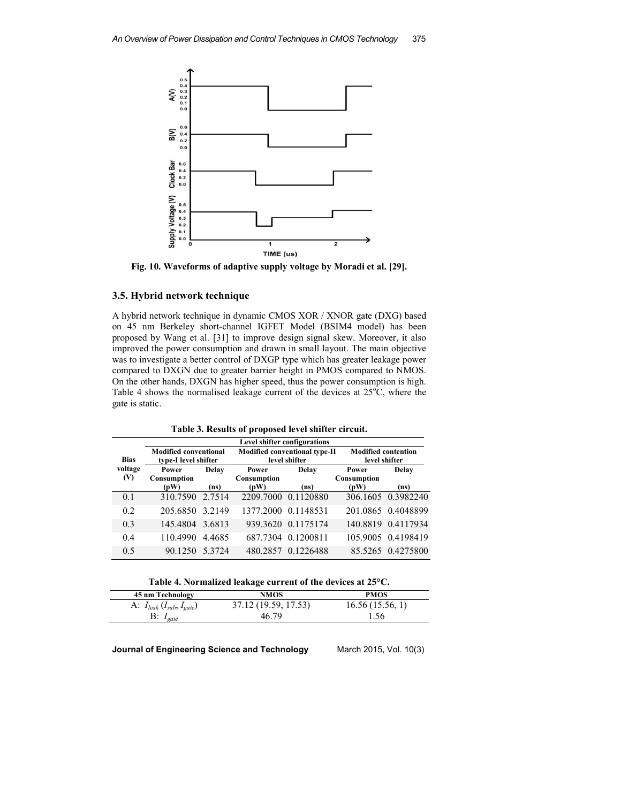

**Fig. 10. Waveforms of adaptive supply voltage by Moradi et al. [29].** 

## **3.5. Hybrid network technique**

A hybrid network technique in dynamic CMOS XOR / XNOR gate (DXG) based on 45 nm Berkeley short-channel IGFET Model (BSIM4 model) has been proposed by Wang et al. [31] to improve design signal skew. Moreover, it also improved the power consumption and drawn in small layout. The main objective was to investigate a better control of DXGP type which has greater leakage power compared to DXGN due to greater barrier height in PMOS compared to NMOS. On the other hands, DXGN has higher speed, thus the power consumption is high. Table 4 shows the normalised leakage current of the devices at  $25^{\circ}$ C, where the gate is static.

| Table 3. Results of proposed level shifter circuit. |  |  |  |  |  |  |  |  |  |
|-----------------------------------------------------|--|--|--|--|--|--|--|--|--|
|-----------------------------------------------------|--|--|--|--|--|--|--|--|--|

|             | <b>Level shifter configurations</b>    |        |                                 |                                      |             |                                             |  |  |  |
|-------------|----------------------------------------|--------|---------------------------------|--------------------------------------|-------------|---------------------------------------------|--|--|--|
| <b>Bias</b> | <b>Modified conventional</b>           |        |                                 | <b>Modified conventional type-II</b> |             | <b>Modified contention</b><br>level shifter |  |  |  |
| voltage     | type-I level shifter<br>Delay<br>Power |        | level shifter<br>Delay<br>Power |                                      | Power       | Delay                                       |  |  |  |
| (V)         | Consumption                            |        | Consumption                     |                                      | Consumption |                                             |  |  |  |
|             | (pW)                                   | (ns)   | (pW)                            | (ns)                                 | (pW)        | (ns)                                        |  |  |  |
| 0.1         | 310.7590                               | 2.7514 | 2209.7000                       | 0.1120880                            |             | 306.1605 0.3982240                          |  |  |  |
| 0.2         | 205.6850                               | 3.2149 | 1377.2000 0.1148531             |                                      |             | 201.0865 0.4048899                          |  |  |  |
| 0.3         | 145.4804 3.6813                        |        |                                 | 939.3620 0.1175174                   |             | 140.8819 0.4117934                          |  |  |  |
| 0.4         | 110.4990                               | 4.4685 |                                 | 687.7304 0.1200811                   |             | 105.9005 0.4198419                          |  |  |  |
| 0.5         | 90.1250                                | 5.3724 |                                 | 480.2857 0.1226488                   |             | 85.5265 0.4275800                           |  |  |  |

**Table 4. Normalized leakage current of the devices at 25°C.** 

| 45 nm Technology                         | <b>NMOS</b>          | <b>PMOS</b>     |
|------------------------------------------|----------------------|-----------------|
| A: $I_{leak}$ ( $I_{sub}$ , $I_{gate}$ ) | 37.12 (19.59, 17.53) | 16.56(15.56, 1) |
| $B: I_{gate}$                            | 46.79                | . . 56          |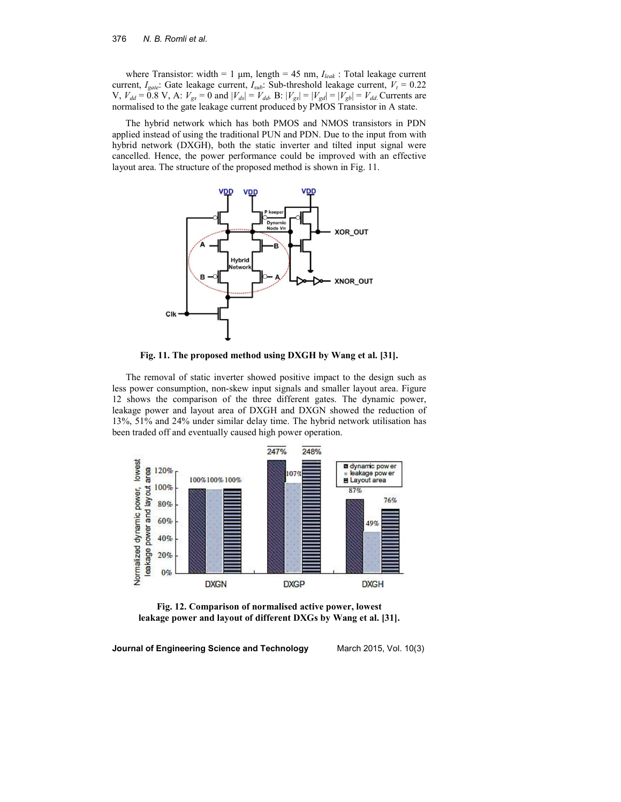where Transistor: width = 1  $\mu$ m, length = 45 nm,  $I_{leak}$ : Total leakage current current,  $I_{gate}$ : Gate leakage current,  $I_{sub}$ : Sub-threshold leakage current,  $V_t = 0.22$  $V, V_{dd} = 0.8 \text{ V}, A: V_{gs} = 0 \text{ and } |V_{ds}| = V_{dd} \text{ B}: |V_{gs}| = |V_{gd}| = |V_{gb}| = V_{dd}$  Currents are normalised to the gate leakage current produced by PMOS Transistor in A state.

The hybrid network which has both PMOS and NMOS transistors in PDN applied instead of using the traditional PUN and PDN. Due to the input from with hybrid network (DXGH), both the static inverter and tilted input signal were cancelled. Hence, the power performance could be improved with an effective layout area. The structure of the proposed method is shown in Fig. 11.



**Fig. 11. The proposed method using DXGH by Wang et al. [31].** 

The removal of static inverter showed positive impact to the design such as less power consumption, non-skew input signals and smaller layout area. Figure 12 shows the comparison of the three different gates. The dynamic power, leakage power and layout area of DXGH and DXGN showed the reduction of 13%, 51% and 24% under similar delay time. The hybrid network utilisation has been traded off and eventually caused high power operation.



**Fig. 12. Comparison of normalised active power, lowest leakage power and layout of different DXGs by Wang et al. [31].**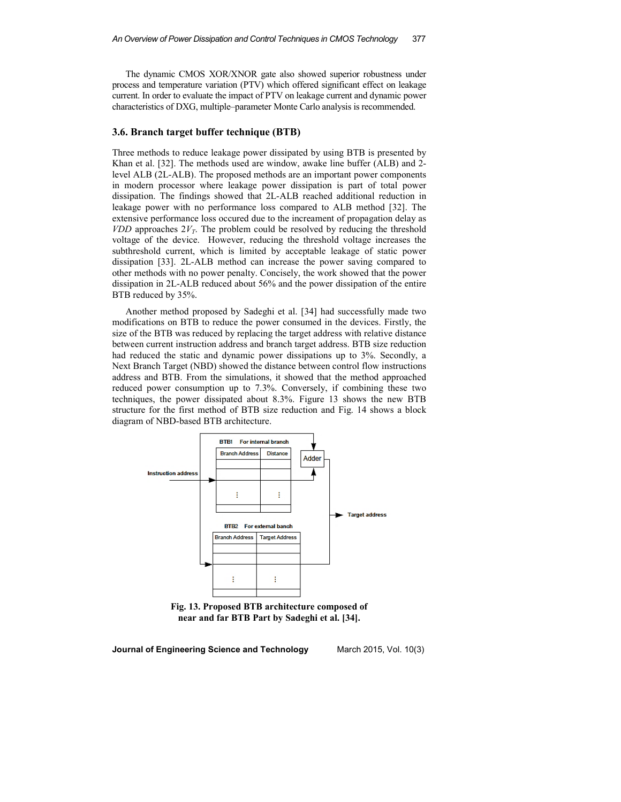The dynamic CMOS XOR/XNOR gate also showed superior robustness under process and temperature variation (PTV) which offered significant effect on leakage current. In order to evaluate the impact of PTV on leakage current and dynamic power characteristics of DXG, multiple–parameter Monte Carlo analysis is recommended.

### **3.6. Branch target buffer technique (BTB)**

Three methods to reduce leakage power dissipated by using BTB is presented by Khan et al. [32]. The methods used are window, awake line buffer (ALB) and 2 level ALB (2L-ALB). The proposed methods are an important power components in modern processor where leakage power dissipation is part of total power dissipation. The findings showed that 2L-ALB reached additional reduction in leakage power with no performance loss compared to ALB method [32]. The extensive performance loss occured due to the increament of propagation delay as *VDD* approaches  $2V_T$ . The problem could be resolved by reducing the threshold voltage of the device. However, reducing the threshold voltage increases the subthreshold current, which is limited by acceptable leakage of static power dissipation [33]. 2L-ALB method can increase the power saving compared to other methods with no power penalty. Concisely, the work showed that the power dissipation in 2L-ALB reduced about 56% and the power dissipation of the entire BTB reduced by 35%.

Another method proposed by Sadeghi et al. [34] had successfully made two modifications on BTB to reduce the power consumed in the devices. Firstly, the size of the BTB was reduced by replacing the target address with relative distance between current instruction address and branch target address. BTB size reduction had reduced the static and dynamic power dissipations up to 3%. Secondly, a Next Branch Target (NBD) showed the distance between control flow instructions address and BTB. From the simulations, it showed that the method approached reduced power consumption up to 7.3%. Conversely, if combining these two techniques, the power dissipated about 8.3%. Figure 13 shows the new BTB structure for the first method of BTB size reduction and Fig. 14 shows a block diagram of NBD-based BTB architecture.



**Fig. 13. Proposed BTB architecture composed of near and far BTB Part by Sadeghi et al. [34].**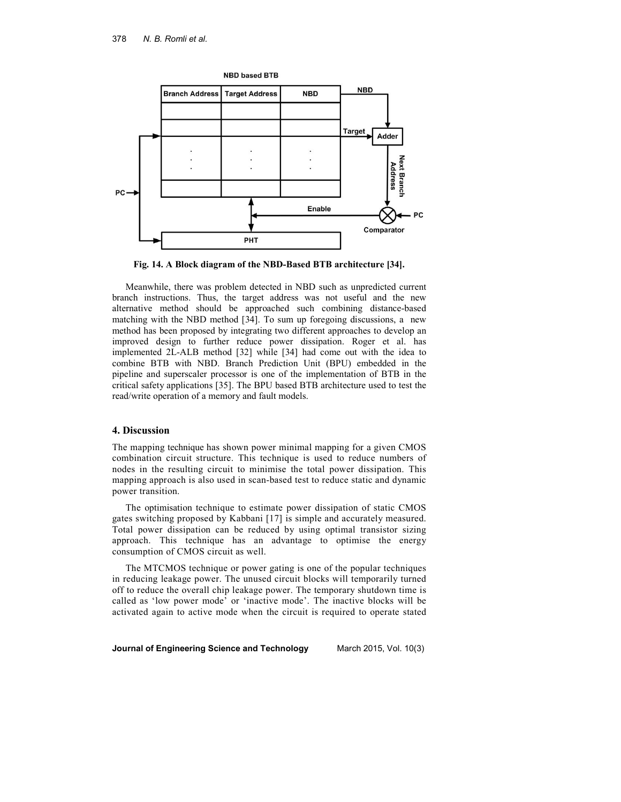

**Fig. 14. A Block diagram of the NBD-Based BTB architecture [34].** 

Meanwhile, there was problem detected in NBD such as unpredicted current branch instructions. Thus, the target address was not useful and the new alternative method should be approached such combining distance-based matching with the NBD method [34]. To sum up foregoing discussions, a new method has been proposed by integrating two different approaches to develop an improved design to further reduce power dissipation. Roger et al. has implemented 2L-ALB method [32] while [34] had come out with the idea to combine BTB with NBD. Branch Prediction Unit (BPU) embedded in the pipeline and superscaler processor is one of the implementation of BTB in the critical safety applications [35]. The BPU based BTB architecture used to test the read/write operation of a memory and fault models.

### **4. Discussion**

The mapping technique has shown power minimal mapping for a given CMOS combination circuit structure. This technique is used to reduce numbers of nodes in the resulting circuit to minimise the total power dissipation. This mapping approach is also used in scan-based test to reduce static and dynamic power transition.

The optimisation technique to estimate power dissipation of static CMOS gates switching proposed by Kabbani [17] is simple and accurately measured. Total power dissipation can be reduced by using optimal transistor sizing approach. This technique has an advantage to optimise the energy consumption of CMOS circuit as well.

The MTCMOS technique or power gating is one of the popular techniques in reducing leakage power. The unused circuit blocks will temporarily turned off to reduce the overall chip leakage power. The temporary shutdown time is called as 'low power mode' or 'inactive mode'. The inactive blocks will be activated again to active mode when the circuit is required to operate stated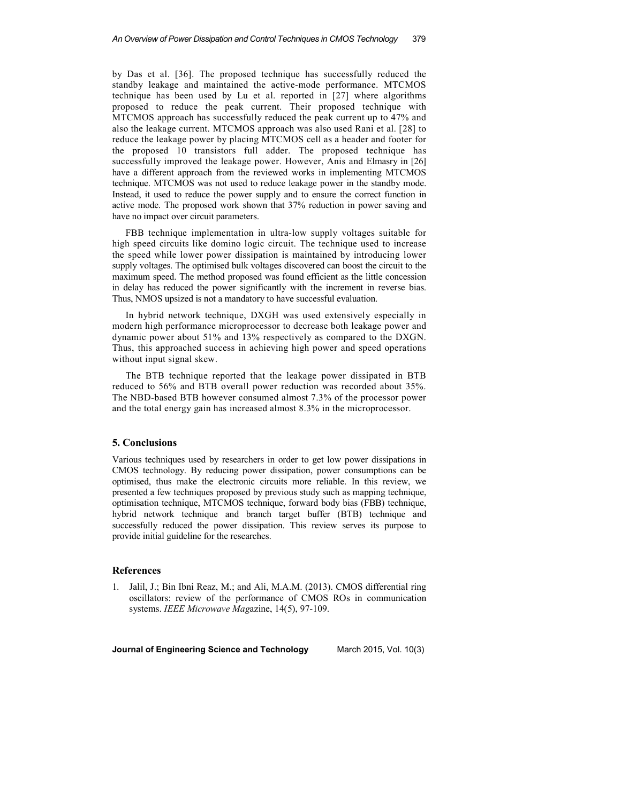by Das et al. [36]. The proposed technique has successfully reduced the standby leakage and maintained the active-mode performance. MTCMOS technique has been used by Lu et al. reported in [27] where algorithms proposed to reduce the peak current. Their proposed technique with MTCMOS approach has successfully reduced the peak current up to 47% and also the leakage current. MTCMOS approach was also used Rani et al. [28] to reduce the leakage power by placing MTCMOS cell as a header and footer for the proposed 10 transistors full adder. The proposed technique has successfully improved the leakage power. However, Anis and Elmasry in [26] have a different approach from the reviewed works in implementing MTCMOS technique. MTCMOS was not used to reduce leakage power in the standby mode. Instead, it used to reduce the power supply and to ensure the correct function in active mode. The proposed work shown that 37% reduction in power saving and have no impact over circuit parameters.

FBB technique implementation in ultra-low supply voltages suitable for high speed circuits like domino logic circuit. The technique used to increase the speed while lower power dissipation is maintained by introducing lower supply voltages. The optimised bulk voltages discovered can boost the circuit to the maximum speed. The method proposed was found efficient as the little concession in delay has reduced the power significantly with the increment in reverse bias. Thus, NMOS upsized is not a mandatory to have successful evaluation.

In hybrid network technique, DXGH was used extensively especially in modern high performance microprocessor to decrease both leakage power and dynamic power about 51% and 13% respectively as compared to the DXGN. Thus, this approached success in achieving high power and speed operations without input signal skew.

The BTB technique reported that the leakage power dissipated in BTB reduced to 56% and BTB overall power reduction was recorded about 35%. The NBD-based BTB however consumed almost 7.3% of the processor power and the total energy gain has increased almost 8.3% in the microprocessor.

### **5. Conclusions**

Various techniques used by researchers in order to get low power dissipations in CMOS technology. By reducing power dissipation, power consumptions can be optimised, thus make the electronic circuits more reliable. In this review, we presented a few techniques proposed by previous study such as mapping technique, optimisation technique, MTCMOS technique, forward body bias (FBB) technique, hybrid network technique and branch target buffer (BTB) technique and successfully reduced the power dissipation. This review serves its purpose to provide initial guideline for the researches.

### **References**

1. Jalil, J.; Bin Ibni Reaz, M.; and Ali, M.A.M. (2013). CMOS differential ring oscillators: review of the performance of CMOS ROs in communication systems. *IEEE Microwave Mag*azine, 14(5), 97-109.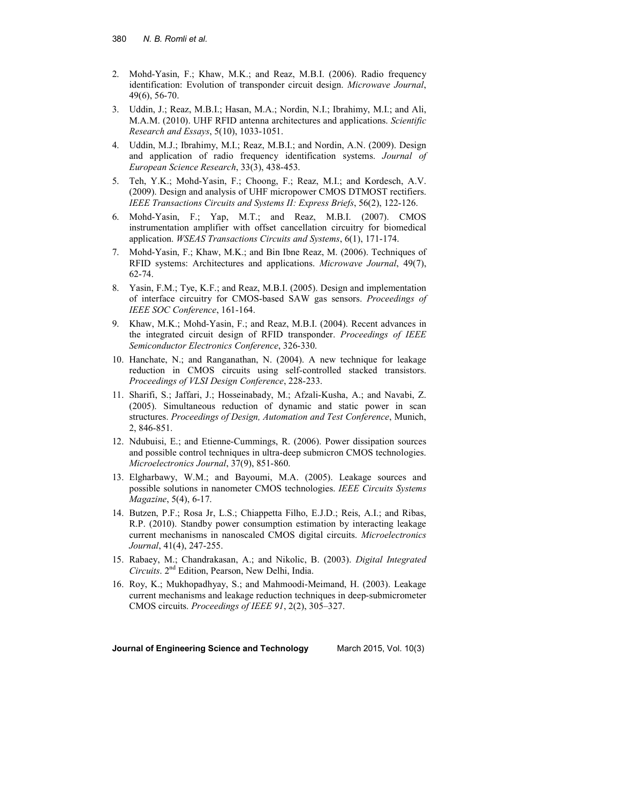- 2. Mohd-Yasin, F.; Khaw, M.K.; and Reaz, M.B.I. (2006). Radio frequency identification: Evolution of transponder circuit design. *Microwave Journal*, 49(6), 56-70.
- 3. Uddin, J.; Reaz, M.B.I.; Hasan, M.A.; Nordin, N.I.; Ibrahimy, M.I.; and Ali, M.A.M. (2010). UHF RFID antenna architectures and applications. *Scientific Research and Essays*, 5(10), 1033-1051.
- 4. Uddin, M.J.; Ibrahimy, M.I.; Reaz, M.B.I.; and Nordin, A.N. (2009). Design and application of radio frequency identification systems. *Journal of European Science Research*, 33(3), 438-453.
- 5. Teh, Y.K.; Mohd-Yasin, F.; Choong, F.; Reaz, M.I.; and Kordesch, A.V. (2009). Design and analysis of UHF micropower CMOS DTMOST rectifiers. *IEEE Transactions Circuits and Systems II: Express Briefs*, 56(2), 122-126.
- 6. Mohd-Yasin, F.; Yap, M.T.; and Reaz, M.B.I. (2007). CMOS instrumentation amplifier with offset cancellation circuitry for biomedical application. *WSEAS Transactions Circuits and Systems*, 6(1), 171-174.
- 7. Mohd-Yasin, F.; Khaw, M.K.; and Bin Ibne Reaz, M. (2006). Techniques of RFID systems: Architectures and applications. *Microwave Journal*, 49(7), 62-74.
- 8. Yasin, F.M.; Tye, K.F.; and Reaz, M.B.I. (2005). Design and implementation of interface circuitry for CMOS-based SAW gas sensors. *Proceedings of IEEE SOC Conference*, 161-164.
- Khaw, M.K.; Mohd-Yasin, F.; and Reaz, M.B.I. (2004). Recent advances in the integrated circuit design of RFID transponder. *Proceedings of IEEE Semiconductor Electronics Conference*, 326-330.
- 10. Hanchate, N.; and Ranganathan, N. (2004). A new technique for leakage reduction in CMOS circuits using self-controlled stacked transistors. *Proceedings of VLSI Design Conference*, 228-233.
- 11. Sharifi, S.; Jaffari, J.; Hosseinabady, M.; Afzali-Kusha, A.; and Navabi, Z. (2005). Simultaneous reduction of dynamic and static power in scan structures. *Proceedings of Design, Automation and Test Conference*, Munich, 2, 846-851.
- 12. Ndubuisi, E.; and Etienne-Cummings, R. (2006). Power dissipation sources and possible control techniques in ultra-deep submicron CMOS technologies. *Microelectronics Journal*, 37(9), 851-860.
- 13. Elgharbawy, W.M.; and Bayoumi, M.A. (2005). Leakage sources and possible solutions in nanometer CMOS technologies. *IEEE Circuits Systems Magazine*, 5(4), 6-17.
- 14. Butzen, P.F.; Rosa Jr, L.S.; Chiappetta Filho, E.J.D.; Reis, A.I.; and Ribas, R.P. (2010). Standby power consumption estimation by interacting leakage current mechanisms in nanoscaled CMOS digital circuits. *Microelectronics Journal*, 41(4), 247-255.
- 15. Rabaey, M.; Chandrakasan, A.; and Nikolic, B. (2003). *Digital Integrated Circuits*. 2nd Edition, Pearson, New Delhi, India.
- 16. Roy, K.; Mukhopadhyay, S.; and Mahmoodi-Meimand, H. (2003). Leakage current mechanisms and leakage reduction techniques in deep-submicrometer CMOS circuits. *Proceedings of IEEE 91*, 2(2), 305–327.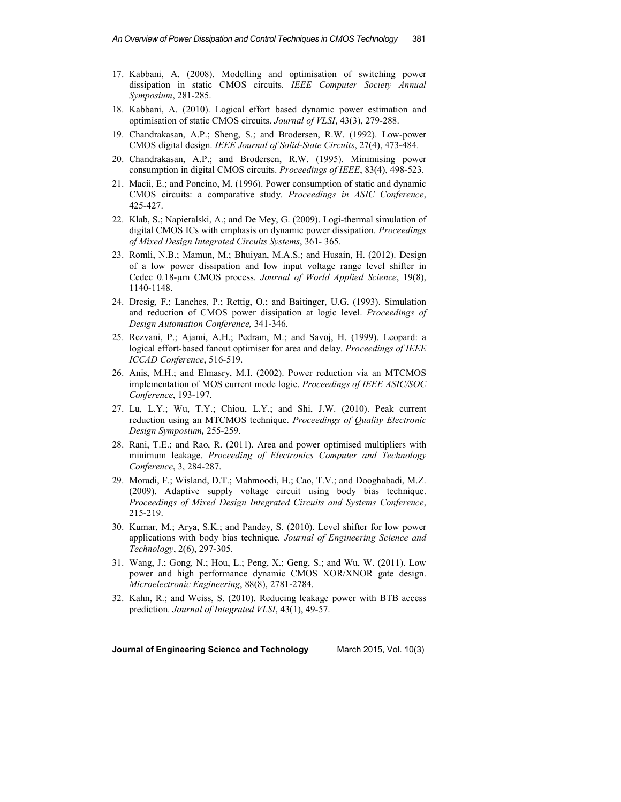- 17. Kabbani, A. (2008). Modelling and optimisation of switching power dissipation in static CMOS circuits. *IEEE Computer Society Annual Symposium*, 281-285.
- 18. Kabbani, A. (2010). Logical effort based dynamic power estimation and optimisation of static CMOS circuits. *Journal of VLSI*, 43(3), 279-288.
- 19. Chandrakasan, A.P.; Sheng, S.; and Brodersen, R.W. (1992). Low-power CMOS digital design. *IEEE Journal of Solid-State Circuits*, 27(4), 473-484.
- 20. Chandrakasan, A.P.; and Brodersen, R.W. (1995). Minimising power consumption in digital CMOS circuits. *Proceedings of IEEE*, 83(4), 498-523.
- 21. Macii, E.; and Poncino, M. (1996). Power consumption of static and dynamic CMOS circuits: a comparative study. *Proceedings in ASIC Conference*, 425-427.
- 22. Klab, S.; Napieralski, A.; and De Mey, G. (2009). Logi-thermal simulation of digital CMOS ICs with emphasis on dynamic power dissipation. *Proceedings of Mixed Design Integrated Circuits Systems*, 361- 365.
- 23. Romli, N.B.; Mamun, M.; Bhuiyan, M.A.S.; and Husain, H. (2012). Design of a low power dissipation and low input voltage range level shifter in Cedec 0.18-µm CMOS process. *Journal of World Applied Science*, 19(8), 1140-1148.
- 24. Dresig, F.; Lanches, P.; Rettig, O.; and Baitinger, U.G. (1993). Simulation and reduction of CMOS power dissipation at logic level. *Proceedings of Design Automation Conference,* 341-346.
- 25. Rezvani, P.; Ajami, A.H.; Pedram, M.; and Savoj, H. (1999). Leopard: a logical effort-based fanout optimiser for area and delay. *Proceedings of IEEE ICCAD Conference*, 516-519.
- 26. Anis, M.H.; and Elmasry, M.I. (2002). Power reduction via an MTCMOS implementation of MOS current mode logic. *Proceedings of IEEE ASIC/SOC Conference*, 193-197.
- 27. Lu, L.Y.; Wu, T.Y.; Chiou, L.Y.; and Shi, J.W. (2010). Peak current reduction using an MTCMOS technique. *Proceedings of Quality Electronic Design Symposium,* 255-259.
- 28. Rani, T.E.; and Rao, R. (2011). Area and power optimised multipliers with minimum leakage. *Proceeding of Electronics Computer and Technology Conference*, 3, 284-287.
- 29. Moradi, F.; Wisland, D.T.; Mahmoodi, H.; Cao, T.V.; and Dooghabadi, M.Z. (2009). Adaptive supply voltage circuit using body bias technique. *Proceedings of Mixed Design Integrated Circuits and Systems Conference*, 215-219.
- 30. Kumar, M.; Arya, S.K.; and Pandey, S. (2010). Level shifter for low power applications with body bias technique*. Journal of Engineering Science and Technology*, 2(6), 297-305.
- 31. Wang, J.; Gong, N.; Hou, L.; Peng, X.; Geng, S.; and Wu, W. (2011). Low power and high performance dynamic CMOS XOR/XNOR gate design. *Microelectronic Engineering*, 88(8), 2781-2784.
- 32. Kahn, R.; and Weiss, S. (2010). Reducing leakage power with BTB access prediction. *Journal of Integrated VLSI*, 43(1), 49-57.